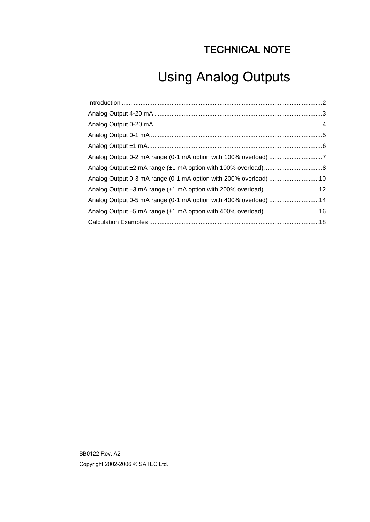## TECHNICAL NOTE

# Using Analog Outputs

| Analog Output 0-5 mA range (0-1 mA option with 400% overload) 14 |  |
|------------------------------------------------------------------|--|
| Analog Output ±5 mA range (±1 mA option with 400% overload)16    |  |
|                                                                  |  |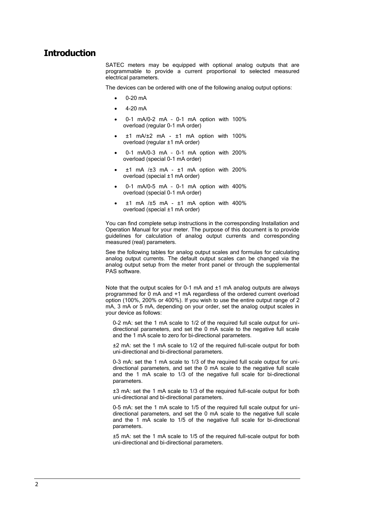### <span id="page-1-0"></span>**Introduction**

SATEC meters may be equipped with optional analog outputs that are programmable to provide a current proportional to selected measured electrical parameters.

The devices can be ordered with one of the following analog output options:

- 0-20 mA
- $-4-20 \text{ mA}$
- 0-1 mA/0-2 mA 0-1 mA option with 100% overload (regular 0-1 mA order)
- ±1 mA/±2 mA ±1 mA option with 100% overload (regular ±1 mA order)
- 0-1 mA/0-3 mA 0-1 mA option with 200% overload (special 0-1 mA order)
- ±1 mA /±3 mA ±1 mA option with 200% overload (special ±1 mA order)
- 0-1 mA/0-5 mA 0-1 mA option with 400% overload (special 0-1 mA order)
- ±1 mA /±5 mA ±1 mA option with 400% overload (special ±1 mA order)

You can find complete setup instructions in the corresponding Installation and Operation Manual for your meter. The purpose of this document is to provide guidelines for calculation of analog output currents and corresponding measured (real) parameters.

See the following tables for analog output scales and formulas for calculating analog output currents. The default output scales can be changed via the analog output setup from the meter front panel or through the supplemental PAS software.

Note that the output scales for 0-1 mA and ±1 mA analog outputs are always programmed for 0 mA and +1 mA regardless of the ordered current overload option (100%, 200% or 400%). If you wish to use the entire output range of 2 mA, 3 mA or 5 mA, depending on your order, set the analog output scales in your device as follows:

0-2 mA: set the 1 mA scale to 1/2 of the required full scale output for unidirectional parameters, and set the 0 mA scale to the negative full scale and the 1 mA scale to zero for bi-directional parameters.

±2 mA: set the 1 mA scale to 1/2 of the required full-scale output for both uni-directional and bi-directional parameters.

0-3 mA: set the 1 mA scale to 1/3 of the required full scale output for unidirectional parameters, and set the 0 mA scale to the negative full scale and the 1 mA scale to 1/3 of the negative full scale for bi-directional parameters.

±3 mA: set the 1 mA scale to 1/3 of the required full-scale output for both uni-directional and bi-directional parameters.

0-5 mA: set the 1 mA scale to 1/5 of the required full scale output for unidirectional parameters, and set the 0 mA scale to the negative full scale and the 1 mA scale to 1/5 of the negative full scale for bi-directional parameters.

±5 mA: set the 1 mA scale to 1/5 of the required full-scale output for both uni-directional and bi-directional parameters.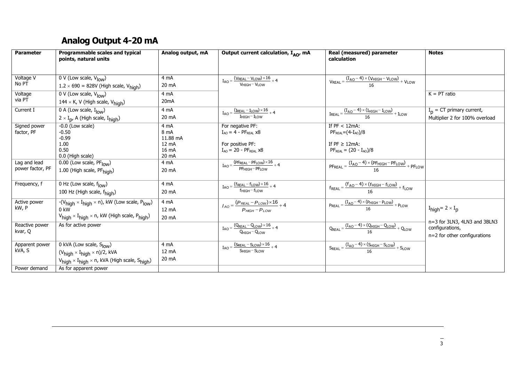### **Analog Output 4-20 mA**

<span id="page-2-0"></span>

| <b>Parameter</b><br>Programmable scales and typical<br>points, natural units             | Analog output, mA | Output current calculation, I <sub>AO</sub> , mA                                     | Real (measured) parameter<br>calculation                                                                      | <b>Notes</b>                              |
|------------------------------------------------------------------------------------------|-------------------|--------------------------------------------------------------------------------------|---------------------------------------------------------------------------------------------------------------|-------------------------------------------|
|                                                                                          |                   |                                                                                      |                                                                                                               |                                           |
| Voltage V<br>$\overline{0}$ V (Low scale, V <sub>low</sub> )                             | 4 mA              | $I_{AO} = \frac{(V_{REAL} - V_{LOW}) \times 16}{V_{HIGH} - V_{LOW}} + 4$             | $VREAL = \frac{(IAO - 4) \times (VHIGH - VLOW)}{16} + VLOW$                                                   |                                           |
| No PT<br>$1.2 \times 690 = 828V$ (High scale, $V_{\text{high}}$ )                        | 20 mA             |                                                                                      |                                                                                                               |                                           |
| Voltage<br>0 V (Low scale, V <sub>low</sub> )                                            | 4 mA              |                                                                                      |                                                                                                               | $K = PT$ ratio                            |
| via PT<br>144 $\times$ K, V (High scale, $V_{\text{high}}$ )                             | 20 <sub>m</sub> A |                                                                                      |                                                                                                               |                                           |
| 0 A (Low scale, $I_{low}$ )<br>Current I                                                 | 4 mA              | $I_{AO} = \frac{(I_{REAL} - I_{LOW}) \times 16}{I_{HIGH} - I_{LOW}} + 4$             | $I_{\text{REAL}} = \frac{(I_{\text{AO}} - 4) \times (I_{\text{HIGH}} - I_{\text{LOW}})}{16} + I_{\text{LOW}}$ | $I_p = CT$ primary current,               |
| $2 \times I_{p}$ , A (High scale, $I_{high}$ )                                           | 20 mA             |                                                                                      |                                                                                                               | Multiplier 2 for 100% overload            |
| Signed power<br>$-0.0$ (Low scale)                                                       | 4 mA              | For negative PF:                                                                     | If $PF < 12mA$ :                                                                                              |                                           |
| factor, PF<br>$-0.50$                                                                    | 8 mA              | $I_{AO} = 4 - PF_{REAL} x8$                                                          | $PFREAL = (4-IAO)/8$                                                                                          |                                           |
| $-0.99$                                                                                  | 11.88 mA          |                                                                                      |                                                                                                               |                                           |
| 1.00                                                                                     | 12 mA             | For positive PF:                                                                     | If $PF \geq 12mA$ :                                                                                           |                                           |
| 0.50<br>0.0 (High scale)                                                                 | 16 mA<br>20 mA    | $I_{AO}$ = 20 - PF <sub>REAL</sub> $\times 8$                                        | $PF_{REAL} = (20 - I_{AO})/8$                                                                                 |                                           |
| Lag and lead<br>0.00 (Low scale, PF <sub>low</sub> )                                     | 4 mA              |                                                                                      |                                                                                                               |                                           |
| power factor, PF                                                                         | 20 mA             | $\boxed{I_{AO} = \frac{(PF_{REAL} - PF_{LOW}) \times 16}{PF_{HIGH} - PF_{LOW}} + 4}$ | $PF_{REAL} = \frac{(I_{AO} - 4) \times (PF_{HIGH} - PF_{LOW})}{16} + PF_{LOW}$                                |                                           |
| 1.00 (High scale, PFhigh)                                                                |                   |                                                                                      |                                                                                                               |                                           |
| $\overline{0}$ Hz (Low scale, $f_{\text{low}}$ )<br>Frequency, f                         | 4 mA              | $I_{AO} = \frac{(f_{REAL} - f_{LOW}) \times 16}{f_{HIGH} - f_{LOW}} + 4$             | $f_{\text{REAL}} = \frac{(f_{\text{AO}} - 4) \times (f_{\text{HIGH}} - f_{\text{LOW}})}{16} + f_{\text{LOW}}$ |                                           |
| 100 Hz (High scale, f <sub>high</sub> )                                                  | 20 mA             |                                                                                      |                                                                                                               |                                           |
| Active power<br>$-(V_{high} \times I_{high} \times n)$ , kW (Low scale, $P_{low}$ )      | 4 mA              | $I_{AO} = \frac{(P_{REAL} - P_{LOW}) \times 16}{P_{HIGH} - P_{LOW}} + 4$             | $P_{\text{REAL}} = \frac{(I_{\text{AO}} - 4) \times (P_{\text{HIGH}} - P_{\text{LOW}})}{16} + P_{\text{LOW}}$ |                                           |
| kW, P<br>0 kW                                                                            | 12 mA             |                                                                                      |                                                                                                               | $I_{\text{high}} = 2 \times I_{\text{p}}$ |
| $V_{\text{high}} \times I_{\text{high}} \times n$ , kW (High scale, P <sub>high</sub> )  | 20 mA             |                                                                                      |                                                                                                               | n=3 for 3LN3, 4LN3 and 3BLN3              |
| Reactive power<br>As for active power                                                    |                   | $I_{AO} = \frac{(Q_{REAL} - Q_{LOW}) \times 16}{Q_{HIGH} - Q_{LOW}} + 4$             | $Q_{REAL} = \frac{(I_{AO} - 4) \times (Q_{HIGH} - Q_{LOW})}{16} + Q_{LOW}$                                    | configurations,                           |
| kvar, Q                                                                                  |                   |                                                                                      |                                                                                                               | n=2 for other configurations              |
| 0 kVA (Low scale, Slow)<br>Apparent power                                                | 4 mA              |                                                                                      | $S_{REAL} = \frac{(I_{AO} - 4) \times (S_{HIGH} - S_{LOW})}{16} + S_{LOW}$                                    |                                           |
| kVA, S<br>$(V_{high} \times I_{high} \times n)/2$ , kVA                                  | 12 mA             | $I_{AO} = \frac{(S_{REAL} - S_{LOW}) \times 16}{S_{HIGH} - S_{LOW}} + 4$             |                                                                                                               |                                           |
| $V_{\text{high}} \times I_{\text{high}} \times n$ , kVA (High scale, S <sub>high</sub> ) | 20 mA             |                                                                                      |                                                                                                               |                                           |
| Power demand<br>As for apparent power                                                    |                   |                                                                                      |                                                                                                               |                                           |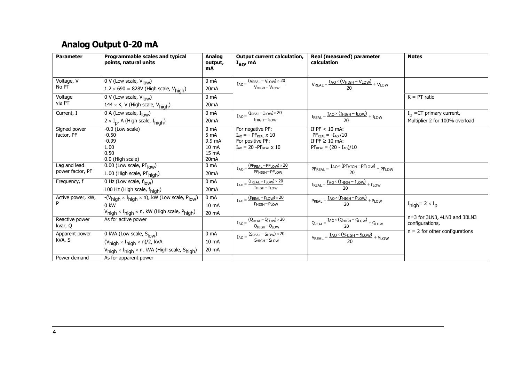## **Analog Output 0-20 mA**

<span id="page-3-0"></span>

| <b>Parameter</b>                 | Programmable scales and typical<br>points, natural units                                                                                                                 | <b>Analog</b><br>output,<br>mA                                                       | <b>Output current calculation,</b><br>$I_{AO}$ , mA                                                                     | <b>Real (measured) parameter</b><br>calculation                                                         | <b>Notes</b>                                                 |
|----------------------------------|--------------------------------------------------------------------------------------------------------------------------------------------------------------------------|--------------------------------------------------------------------------------------|-------------------------------------------------------------------------------------------------------------------------|---------------------------------------------------------------------------------------------------------|--------------------------------------------------------------|
| Voltage, V<br>No PT              | 0 V (Low scale, V <sub>low</sub> )<br>$1.2 \times 690 = 828V$ (High scale, V <sub>high</sub> )                                                                           | 0 <sub>m</sub> A<br>20 <sub>m</sub> A                                                | $I_{AO} = \frac{(V_{REAL} - V_{LOW}) \times 20}{V_{HIGH} - V_{LOW}}$                                                    | $V_{REAL} = \frac{I_{AO} \times (V_{HIGH} - V_{LOW})}{20} + V_{LOW}$                                    |                                                              |
| Voltage<br>via PT                | 0 V (Low scale, $V_{low}$ )<br>144 $\times$ K, V (High scale, $V_{high}$ )                                                                                               | 0 <sub>m</sub> A<br>20 <sub>m</sub> A                                                |                                                                                                                         |                                                                                                         | $K = PT$ ratio                                               |
| Current, I                       | 0 A (Low scale, $I_{\text{low}}$ )<br>$2 \times I_{p}$ , A (High scale, $I_{high}$ )                                                                                     | 0 <sub>m</sub> A<br>20 <sub>m</sub> A                                                | $I_{AO} = \frac{(I_{REAL} - I_{LOW}) \times 20}{I_{AO}}$<br>IHIGH-ILOW                                                  | $I_{REAL} = \frac{I_{AO} \times (I_{HIGH} - I_{LOW})}{20} + I_{LOW}$                                    | $I_p$ =CT primary current,<br>Multiplier 2 for 100% overload |
| Signed power<br>factor, PF       | $-0.0$ (Low scale)<br>$-0.50$<br>$-0.99$<br>1.00<br>0.50<br>0.0 (High scale)                                                                                             | 0 <sub>m</sub> A<br>5 <sub>mA</sub><br>9.9 mA<br>10 mA<br>15 mA<br>20 <sub>m</sub> A | For negative PF:<br>$I_{AO}$ = - PF <sub>REAL</sub> $\times$ 10<br>For positive PF:<br>$I_{AO}$ = 20 - $PF_{REAI}$ x 10 | If $PF < 10$ mA:<br>$PFREAL = -IAO/10$<br>If $PF \ge 10$ mA:<br>$PF_{REAL} = (20 - I_{AO})/10$          |                                                              |
| Lag and lead<br>power factor, PF | $0.00$ (Low scale, PF $_{low}$ )<br>1.00 (High scale, PFhigh)                                                                                                            | 0 <sub>mA</sub><br>20 <sub>m</sub> A                                                 | $I_{AO} = \frac{(PF_{REAL} - PF_{LOW}) \times 20}{T}$<br>PF <sub>HIGH</sub> -PFLOW                                      | $PF_{REAL} = \frac{IAO \times (PF_{HIGH} - PF_{LOW})}{20} + PF_{LOW}$                                   |                                                              |
| Frequency, f                     | $\overline{0}$ Hz (Low scale, $f_{\text{low}}$ )<br>100 Hz (High scale, f <sub>high</sub> )                                                                              | 0 <sub>m</sub> A<br>20 <sub>m</sub> A                                                | $I_{AO} = \frac{(f_{REAL} - f_{LOW}) \times 20}{(f_{R} - f_{LOW}) \times 20}$<br>$f_{\text{HIGH}} - f_{\text{LOW}}$     | $f_{\text{REAL}} = \frac{f_{\text{AO}} \times (f_{\text{HIGH}} - f_{\text{LOW}})}{20} + f_{\text{LOW}}$ |                                                              |
| Active power, kW,<br>P           | $-(V_{high} \times I_{high} \times n)$ , kW (Low scale, $P_{low}$ )<br>$0$ kW<br>$V_{\text{high}} \times I_{\text{high}} \times n$ , kW (High scale, P <sub>high</sub> ) | 0 <sub>m</sub> A<br>10 mA<br>20 mA                                                   | $I_{AO} = \frac{(P_{REAL} - P_{LOW}) \times 20}{(P_{REAL} - P_{LOW}) \times 20}$<br>$P_{HIGH} - P_{LOW}$                | $P_{REAL} = \frac{I_{AO} \times (P_{HIGH} - P_{LOW})}{20} + P_{LOW}$                                    | $I_{\text{high}} = 2 \times I_{\text{p}}$                    |
| Reactive power<br>kvar, Q        | As for active power                                                                                                                                                      |                                                                                      | $I_{AO} = \frac{(Q_{REAL} - Q_{LOW}) \times 20}{2}$<br>$Q_{HIGH} - Q_{LOW}$                                             | $Q_{\text{REAL}} = \frac{I_{\text{AO}} \times (Q_{\text{HIGH}} - Q_{\text{LOW}})}{20} + Q_{\text{LOW}}$ | n=3 for 3LN3, 4LN3 and 3BLN3<br>configurations,              |
| Apparent power<br>kVA, S         | 0 kVA (Low scale, Slow)<br>$(V_{high} \times I_{high} \times n)/2$ , kVA<br>$V_{\text{hidh}} \times I_{\text{hidh}} \times n$ , kVA (High scale, S <sub>high</sub> )     | 0 <sub>m</sub> A<br>10 mA<br>20 mA                                                   | $I_{AO} = \frac{(S_{REAL} - S_{LOW}) \times 20}{5}$<br>$SHIGH - SLOW$                                                   | $S_{REAL} = \frac{I_{AO} \times (S_{HIGH} - S_{LOW})}{20} + S_{LOW}$                                    | $n = 2$ for other configurations                             |
| Power demand                     | As for apparent power                                                                                                                                                    |                                                                                      |                                                                                                                         |                                                                                                         |                                                              |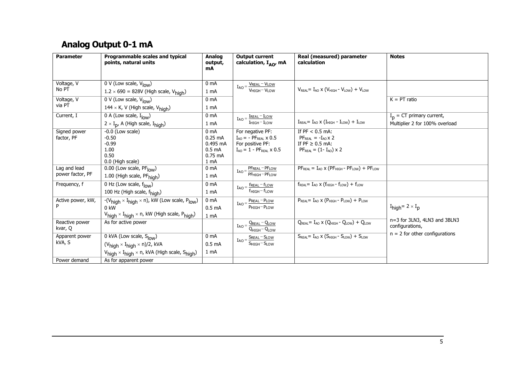## **Analog Output 0-1 mA**

<span id="page-4-0"></span>

| <b>Parameter</b>                 | Programmable scales and typical<br>points, natural units                                | <b>Analog</b><br>output,<br>mA | <b>Output current</b><br>calculation, $I_{AO}$ , mA       | Real (measured) parameter<br>calculation                                                     | <b>Notes</b>                                    |
|----------------------------------|-----------------------------------------------------------------------------------------|--------------------------------|-----------------------------------------------------------|----------------------------------------------------------------------------------------------|-------------------------------------------------|
|                                  |                                                                                         |                                |                                                           |                                                                                              |                                                 |
| Voltage, V                       | 0 V (Low scale, $V_{low}$ )                                                             | 0 <sub>m</sub> A               | $I_{AO} = \frac{V_{REAL} - V_{LOW}}{V_{HIGH} - V_{LOW}}$  |                                                                                              |                                                 |
| No PT                            | $1.2 \times 690 = 828V$ (High scale, $V_{\text{high}}$ )                                | 1 <sub>mA</sub>                |                                                           | $V_{REAL} = I_{AO} \times (V_{HIGH} - V_{LOW}) + V_{LOW}$                                    |                                                 |
| Voltage, V                       | 0 V (Low scale, $V_{low}$ )                                                             | 0 <sub>mA</sub>                |                                                           |                                                                                              | $K = PT$ ratio                                  |
| via PT                           | $144 \times K$ , V (High scale, V <sub>high</sub> )                                     | 1 mA                           |                                                           |                                                                                              |                                                 |
| Current, I                       | 0 A (Low scale, $I_{low}$ )                                                             | 0 <sub>m</sub> A               | $I_{AO} = \frac{I_{REAL} - I_{LOW}}{I_{A}}$               |                                                                                              | $I_{n}$ = CT primary current,                   |
|                                  | $2 \times I_{p}$ , A (High scale, $I_{\text{high}}$ )                                   | 1 mA                           | $I$ HIGH $-I$ LOW                                         | $I_{\text{REAL}} = I_{\text{AO}} \times (I_{\text{HIGH}} - I_{\text{LOW}}) + I_{\text{LOW}}$ | Multiplier 2 for 100% overload                  |
| Signed power                     | $-0.0$ (Low scale)                                                                      | 0 <sub>mA</sub>                | For negative PF:                                          | If $PF < 0.5$ mA:                                                                            |                                                 |
| factor, PF                       | $-0.50$<br>$-0.99$                                                                      | $0.25$ mA<br>$0.495$ mA        | $I_{AO}$ = - PF <sub>RFAI</sub> x 0.5<br>For positive PF: | $PFRFAI = -IAO \times 2$<br>If $PF \geq 0.5$ mA:                                             |                                                 |
|                                  | 1.00                                                                                    | 0.5 <sub>mA</sub>              | $I_{AO} = 1 - PF_{REAL} \times 0.5$                       | $PF_{REAL} = (1 - I_{AO}) \times 2$                                                          |                                                 |
|                                  | 0.50                                                                                    | $0.75$ mA                      |                                                           |                                                                                              |                                                 |
|                                  | 0.0 (High scale)                                                                        | 1 <sub>mA</sub>                |                                                           |                                                                                              |                                                 |
| Lag and lead<br>power factor, PF | 0.00 (Low scale, PF <sub>low</sub> )                                                    | 0 <sub>m</sub> A               | PFREAL-PFLOW<br>$I_{AO} =$<br>$PF_{HIGH} - PF_{LOW}$      | $PFREAL = IAO \times (PFHIGH - PFLOW) + PFLOW$                                               |                                                 |
|                                  | 1.00 (High scale, PFhigh)                                                               | 1 mA                           |                                                           |                                                                                              |                                                 |
| Frequency, f                     | 0 Hz (Low scale, $f_{low}$ )                                                            | 0 <sub>m</sub> A               | $I_{AO} = \frac{f_{REAL} - f_{LOW}}{f_{A}}$               | $f_{\text{REAL}} = I_{\text{AO}} \times (f_{\text{HIGH}} - f_{\text{LOW}}) + f_{\text{LOW}}$ |                                                 |
|                                  | 100 Hz (High scale, f <sub>high</sub> )                                                 | 1 mA                           | $f_{\text{HIGH}} - f_{\text{LOW}}$                        |                                                                                              |                                                 |
| Active power, kW,                | $-(V_{high} \times I_{high} \times n)$ , kW (Low scale, $P_{low}$ )                     | 0 <sub>mA</sub>                | $I_{AO} = \frac{P_{REAL} - P_{LOW}}{P_{A}}$               | $P_{RFAI} = I_{AO} \times (P_{HIGH} - P_{LOW}) + P_{LOW}$                                    |                                                 |
| P                                | $0 \text{ kW}$                                                                          | $0.5 \text{ mA}$               | $P_{HIGH} - P_{LOW}$                                      |                                                                                              | $I_{\text{high}} = 2 \times I_{\text{p}}$       |
|                                  | $V_{\text{hidh}} \times I_{\text{hidh}} \times n$ , kW (High scale, P <sub>high</sub> ) | 1 <sub>mA</sub>                |                                                           |                                                                                              |                                                 |
| Reactive power<br>kvar, Q        | As for active power                                                                     |                                | $I_{AO} = \frac{Q_{REAL} - Q_{LOW}}{Q_{HIGH} - Q_{LOW}}$  | $Q_{\text{REAL}} = I_{\text{AO}} \times (Q_{\text{HIGH}} - Q_{\text{LOW}}) + Q_{\text{LOW}}$ | n=3 for 3LN3, 4LN3 and 3BLN3<br>configurations, |
| Apparent power                   | $\overline{0}$ kVA (Low scale, S <sub>low</sub> )                                       | 0 <sub>m</sub> A               |                                                           | $S_{\text{PEAl}} = I_{\text{AO}} \times (S_{\text{HIGH}} - S_{\text{LOW}}) + S_{\text{LOW}}$ | $n = 2$ for other configurations                |
| kVA, S                           | $(Vhigh \times Ihigh \times n)/2$ , kVA                                                 | 0.5 <sub>mA</sub>              | $I_{AO} = \frac{S_{REAL} - S_{LOW}}{S_{HIGH} - S_{LOW}}$  |                                                                                              |                                                 |
|                                  | V <sub>high</sub> × I <sub>high</sub> × n, kVA (High scale, S <sub>high</sub> )         | 1 <sub>mA</sub>                |                                                           |                                                                                              |                                                 |
| Power demand                     | As for apparent power                                                                   |                                |                                                           |                                                                                              |                                                 |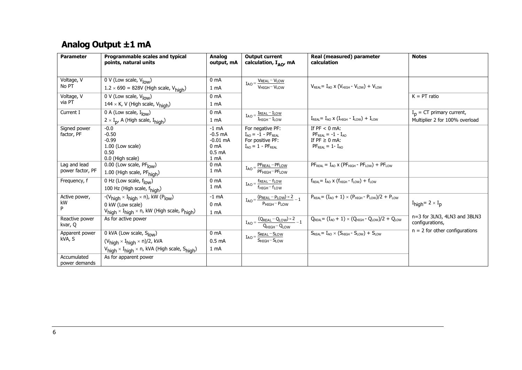## **Analog Output ±1 mA**

<span id="page-5-0"></span>

| <b>Parameter</b> | Programmable scales and typical<br>points, natural units                                 | Analog<br>output, mA | <b>Output current</b><br>calculation, I <sub>AO</sub> , mA              | Real (measured) parameter<br>calculation                                                             | <b>Notes</b>                                    |
|------------------|------------------------------------------------------------------------------------------|----------------------|-------------------------------------------------------------------------|------------------------------------------------------------------------------------------------------|-------------------------------------------------|
|                  |                                                                                          |                      |                                                                         |                                                                                                      |                                                 |
| Voltage, V       | 0 V (Low scale, V <sub>low</sub> )                                                       | 0 <sub>mA</sub>      | $I_{AO} = \frac{V_{REAL} - V_{LOW}}{V_{A}}$                             |                                                                                                      |                                                 |
| No PT            | $1.2 \times 690 = 828V$ (High scale, V <sub>high</sub> )                                 | 1 mA                 | $V$ <sub>HIGH</sub> $-V1$ OW                                            | $V_{REAL} = I_{AO} \times (V_{HIGH} - V_{LOW}) + V_{LOW}$                                            |                                                 |
| Voltage, V       | 0 V (Low scale, $V_{low}$ )                                                              | 0 <sub>mA</sub>      |                                                                         |                                                                                                      | $K = PT$ ratio                                  |
| via PT           | 144 $\times$ K, V (High scale, V <sub>high</sub> )                                       | 1 <sub>mA</sub>      |                                                                         |                                                                                                      |                                                 |
| Current I        | $\overline{0 A}$ (Low scale, $I_{\text{low}}$ )                                          | 0 <sub>mA</sub>      | $I_{AO} = \frac{I_{REAL} - I_{LOW}}{I_{HIGH} - I_{LOW}}$                |                                                                                                      | $I_p = CT$ primary current,                     |
|                  | $2 \times I_{p}$ , A (High scale, $I_{\text{high}}$ )                                    | 1 <sub>mA</sub>      |                                                                         | $I_{\text{REAL}} = I_{\text{AO}} \times (I_{\text{HIGH}} - I_{\text{LOW}}) + I_{\text{LOW}}$         | Multiplier 2 for 100% overload                  |
| Signed power     | $-0.0$                                                                                   | $-1$ mA              | For negative PF:                                                        | If $PF < 0$ mA:                                                                                      |                                                 |
| factor, PF       | $-0.50$                                                                                  | $-0.5$ mA            | $I_{AO} = -1 - PF_{REAL}$                                               | $PFREAL = -1 - IAO$                                                                                  |                                                 |
|                  | $-0.99$                                                                                  | $-0.01$ mA           | For positive PF:                                                        | If $PF \geq 0$ mA:                                                                                   |                                                 |
|                  | 1.00 (Low scale)                                                                         | 0 <sub>mA</sub>      | $I_{AO} = 1 - PF_{REAL}$                                                | $PFREAL = 1 - IAO$                                                                                   |                                                 |
|                  | 0.50                                                                                     | 0.5 <sub>mA</sub>    |                                                                         |                                                                                                      |                                                 |
|                  | 0.0 (High scale)                                                                         | 1 mA                 |                                                                         |                                                                                                      |                                                 |
| Lag and lead     | $\overline{0.00}$ (Low scale, PF $_{\text{low}}$ )                                       | 0 <sub>mA</sub>      | PFREAL-PFLOW<br>IAO                                                     | $PFREAL = IAO$ x ( $PFHIGH - PFLOW$ ) + $PFLOW$                                                      |                                                 |
| power factor, PF | 1.00 (High scale, PFhigh)                                                                | 1 mA                 | $PF_{HIGH}-PF_{LOW}$                                                    |                                                                                                      |                                                 |
| Frequency, f     | $\overline{0}$ Hz (Low scale, $f_{\text{low}}$ )                                         | 0 <sub>mA</sub>      | freal - flow<br>$IAO =$                                                 | $f_{\text{REAL}} = I_{\text{AO}} \times (f_{\text{HIGH}} - f_{\text{LOW}}) + f_{\text{LOW}}$         |                                                 |
|                  | 100 Hz (High scale, f <sub>high</sub> )                                                  | 1 <sub>mA</sub>      | $f_{HIGH} - f_{LOW}$                                                    |                                                                                                      |                                                 |
| Active power,    | $-(V_{high} \times I_{high} \times n)$ , kW (P <sub>low</sub> )                          | $-1$ mA              | $I_{AO} = \frac{(P_{REAL} - P_{LOW}) \times 2}{P_{HIGH} - P_{LOW}} - 1$ | $P_{\text{REAL}} = (I_{AO} + 1) \times (P_{\text{HIGH}} - P_{\text{LOW}})/2 + P_{\text{LOW}}$        |                                                 |
| kW               | 0 kW (Low scale)                                                                         | 0 <sub>mA</sub>      |                                                                         |                                                                                                      | $I_{\text{high}} = 2 \times I_{\text{p}}$       |
| P                | $V_{high} \times I_{high} \times n$ , kW (High scale, $P_{high}$ )                       | 1 <sub>mA</sub>      |                                                                         |                                                                                                      |                                                 |
| Reactive power   | As for active power                                                                      |                      | $I_{AO} = \frac{(Q_{REAL} - Q_{LOW}) \times 2}{Q_{HIGH} - Q_{LOW}} - 1$ | $Q_{\text{REAL}} = (I_{\text{AO}} + 1) \times (Q_{\text{HIGH}} - Q_{\text{LOW}})/2 + Q_{\text{LOW}}$ | n=3 for 3LN3, 4LN3 and 3BLN3<br>configurations, |
| kvar, Q          |                                                                                          |                      |                                                                         |                                                                                                      |                                                 |
| Apparent power   | $\overline{0}$ kVA (Low scale, S <sub>low</sub> )                                        | 0 <sub>mA</sub>      | $I_{AO} = \frac{S_{REAL} - S_{LOW}}{S_{HIGH} - S_{LOW}}$                | $S_{RFAI} = I_{AO} \times (S_{HIGH} - S_{LOW}) + S_{LOW}$                                            | $n = 2$ for other configurations                |
| kVA, S           | $(V_{high} \times I_{high} \times n)/2$ , kVA                                            | 0.5 <sub>mA</sub>    |                                                                         |                                                                                                      |                                                 |
|                  | $V_{\text{high}} \times I_{\text{high}} \times n$ , kVA (High scale, S <sub>high</sub> ) | 1 <sub>mA</sub>      |                                                                         |                                                                                                      |                                                 |
| Accumulated      | As for apparent power                                                                    |                      |                                                                         |                                                                                                      |                                                 |
| power demands    |                                                                                          |                      |                                                                         |                                                                                                      |                                                 |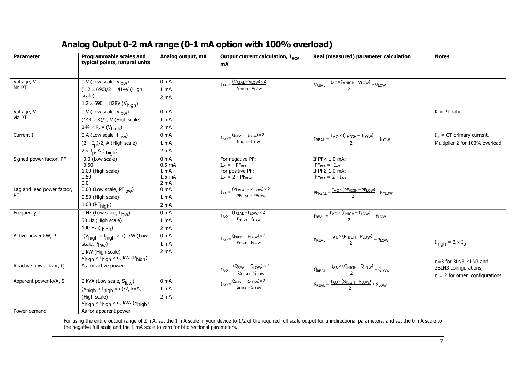### **Analog Output 0-2 mA range (0-1 mA option with 100% overload)**

| <b>Parameter</b>           | Programmable scales and                                          | Analog output, mA         | Output current calculation, $I_{AO}$                                    | Real (measured) parameter calculation                                                                          | <b>Notes</b>                              |
|----------------------------|------------------------------------------------------------------|---------------------------|-------------------------------------------------------------------------|----------------------------------------------------------------------------------------------------------------|-------------------------------------------|
|                            | typical points, natural units                                    |                           | mA                                                                      |                                                                                                                |                                           |
|                            |                                                                  |                           |                                                                         |                                                                                                                |                                           |
| Voltage, V                 |                                                                  | 0 <sub>m</sub> A          |                                                                         |                                                                                                                |                                           |
| No PT                      | 0 V (Low scale, $V_{low}$ )<br>$(1.2 \times 690)/2 = 414V$ (High |                           | $I_{AO} = \frac{(V_{REAL} - V_{LOW}) \times 2}{V_{LOW}}$<br>VHIGH-VLOW  | $V_{REAL} = \frac{I_{AO} \times (V_{HIGH} - V_{LOW})}{2} + V_{LOW}$                                            |                                           |
|                            | scale)                                                           | 1 mA                      |                                                                         |                                                                                                                |                                           |
|                            | $1.2 \times 690 = 828V (V_{\text{high}})$                        | 2 mA                      |                                                                         |                                                                                                                |                                           |
| Voltage, V                 | $0 \text{ V}$ (Low scale, $V_{\text{low}}$ )                     | 0 <sub>mA</sub>           |                                                                         |                                                                                                                | $K = PT$ ratio                            |
| via PT                     |                                                                  |                           |                                                                         |                                                                                                                |                                           |
|                            | $(144 \times K)/2$ , V (High scale)                              | 1 <sub>mA</sub>           |                                                                         |                                                                                                                |                                           |
|                            | $144 \times K$ , V (V <sub>high</sub> )                          | 2 <sub>m</sub> A          |                                                                         |                                                                                                                |                                           |
| Current I                  | $\overline{0}$ A (Low scale, $I_{\text{low}}$ )                  | 0 <sub>mA</sub>           | $I_{AO} = \frac{(I_{REAL} - I_{LOW}) \times 2}{I_{HIGH} - I_{LOW}}$     | $I_{\text{REAL}} = \frac{I_{\text{AO}} \times (I_{\text{HIGH}} - I_{\text{LOW}})}{2} + I_{\text{LOW}}$         | $I_p = CT$ primary current,               |
|                            | $(2 \times I_D)/2$ , A (High scale)                              | 1 mA                      |                                                                         |                                                                                                                | Multiplier 2 for 100% overload            |
|                            | $2 \times I_{p}$ , A (I <sub>high</sub> )                        | 2 <sub>m</sub> A          |                                                                         |                                                                                                                |                                           |
| Signed power factor, PF    | $-0.0$ (Low scale)                                               | 0 <sub>mA</sub>           | For negative PF:                                                        | If $PF < 1.0$ mA:                                                                                              |                                           |
|                            | $-0.50$                                                          | 0.5 <sub>mA</sub>         | $I_{AO} = -P F_{REAL}$                                                  | $PFREAL = -IAO$                                                                                                |                                           |
|                            | 1.00 (High scale)<br>0.50                                        | 1 mA<br>1.5 <sub>mA</sub> | For positive PF:<br>$I_{AO} = 2 - PF_{REAL}$                            | If PF≥ 1.0 mA:<br>$PFREAL = 2 - IAO$                                                                           |                                           |
|                            | 0.0                                                              | 2 mA                      |                                                                         |                                                                                                                |                                           |
| Lag and lead power factor, | $\overline{0.00}$ (Low scale, PF $_{\text{low}}$ )               | 0 <sub>mA</sub>           | $I_{AO} = \frac{(PF_{REAL} - PF_{LOW}) \times 2}{PF_{HIGH} - PF_{LOW}}$ | $PF_{REAL} = \frac{I_{AO} \times (PF_{HIGH} - PF_{LOW})}{2} + PF_{LOW}$                                        |                                           |
| PF                         | 0.50 (High scale)                                                | 1 mA                      |                                                                         |                                                                                                                |                                           |
|                            | $1.00$ (PF $_{\text{high}}$ )                                    | 2 mA                      |                                                                         |                                                                                                                |                                           |
| Frequency, f               | 0 Hz (Low scale, $f_{low}$ )                                     | 0 <sub>mA</sub>           | $I_{AO} = \frac{(f_{REAL} - f_{LOW}) \times 2}{f_{HIGH} - f_{LOW}}$     | $f_{\text{REAL}} = \frac{f_{\text{AO}} \times (f_{\text{HIGH}} - f_{\text{LOW}})}{2} + f_{\text{LOW}}$         |                                           |
|                            | 50 Hz (High scale)                                               | 1 mA                      |                                                                         |                                                                                                                |                                           |
|                            | 100 Hz $(fhiah)$                                                 | 2 <sub>m</sub> A          |                                                                         |                                                                                                                |                                           |
| Active power kW, P         | $-(V_{high} \times I_{high} \times n)$ , kW (Low                 | 0 <sub>mA</sub>           | $I_{AO} = \frac{(P_{REAL} - P_{LOW}) \times 2}{P_{HIGH} - P_{LOW}}$     | $\overline{P_{REAL}} = \frac{I_{AO} \times (P_{HIGH} - P_{LOW})}{2} + P_{LOW}$                                 |                                           |
|                            | scale, Plow)                                                     | 1 mA                      |                                                                         |                                                                                                                | $I_{\text{high}} = 2 \times I_{\text{p}}$ |
|                            | 0 kW (High scale)                                                | 2 <sub>m</sub> A          |                                                                         |                                                                                                                |                                           |
|                            | $V_{high} \times I_{high} \times n$ , kW (P <sub>high</sub> )    |                           |                                                                         |                                                                                                                | n=3 for 3LN3, 4LN3 and                    |
| Reactive power kvar, Q     | As for active power                                              |                           |                                                                         | $\boxed{Q_{\text{REAL}} = \frac{I_{\text{AO}} \times (Q_{\text{HIGH}} - Q_{\text{LOW}})}{2} + Q_{\text{LOW}}}$ | 3BLN3 configurations,                     |
|                            |                                                                  |                           | $I_{AO} = \frac{(Q_{REAL} - Q_{LOW}) \times 2}{Q_{HIGH} - Q_{LOW}}$     |                                                                                                                | $n = 2$ for other configurations          |
| Apparent power kVA, S      | $\overline{0}$ kVA (Low scale, $S_{\text{low}}$ )                | 0 <sub>mA</sub>           | $I_{AO} = \frac{(S_{REAL} - S_{LOW}) \times 2}{S_{HIGH} - S_{LOW}}$     | $S_{REAL} = \frac{I_{AO} \times (S_{HIGH} - S_{LOW})}{2} + S_{LOW}$                                            |                                           |
|                            | $(V_{high} \times I_{high} \times n)/2$ , kVA,                   | 1 mA                      |                                                                         |                                                                                                                |                                           |
|                            | (High scale)                                                     | 2 <sub>m</sub> A          |                                                                         |                                                                                                                |                                           |
|                            | $V_{high} \times I_{high} \times n$ , kVA (S <sub>high</sub> )   |                           |                                                                         |                                                                                                                |                                           |
| Power demand               | As for apparent power                                            |                           |                                                                         |                                                                                                                |                                           |

<span id="page-6-0"></span>For using the entire output range of 2 mA, set the 1 mA scale in your device to 1/2 of the required full scale output for uni-directional parameters, and set the 0 mA scale to the negative full scale and the 1 mA scale to zero for bi-directional parameters.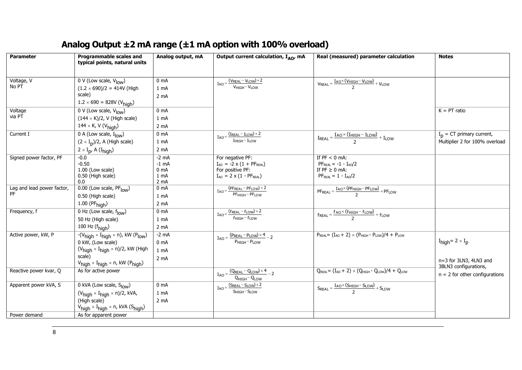## **Analog Output ±2 mA range (±1 mA option with 100% overload)**

<span id="page-7-0"></span>

| <b>Parameter</b>           | Programmable scales and                                                     | Analog output, mA       | Output current calculation, $I_{AO}$ , mA                                      | Real (measured) parameter calculation                                                                                            | <b>Notes</b>                              |
|----------------------------|-----------------------------------------------------------------------------|-------------------------|--------------------------------------------------------------------------------|----------------------------------------------------------------------------------------------------------------------------------|-------------------------------------------|
|                            | typical points, natural units                                               |                         |                                                                                |                                                                                                                                  |                                           |
| Voltage, V                 | $0 \vee$ (Low scale, $V_{low}$ )                                            | 0 <sub>m</sub> A        | $I_{AO} = \frac{(V_{REAL} - V_{LOW}) \times 2}{(V_{REAL} - V_{LOW}) \times 2}$ |                                                                                                                                  |                                           |
| No PT                      | $(1.2 \times 690)/2 = 414V$ (High                                           | 1 mA                    | V <sub>HIGH</sub> -VLOW                                                        | $V_{REAL} = \frac{I_{AO} \times (V_{HIGH} - V_{LOW})}{2} + V_{LOW}$                                                              |                                           |
|                            | scale)                                                                      | 2 <sub>m</sub> A        |                                                                                |                                                                                                                                  |                                           |
|                            | $1.2 \times 690 = 828V (V_{\text{high}})$                                   |                         |                                                                                |                                                                                                                                  |                                           |
| Voltage                    | 0 V (Low scale, $V_{low}$ )                                                 | 0 <sub>m</sub> A        |                                                                                |                                                                                                                                  | $K = PT$ ratio                            |
| via PT                     | $(144 \times K)/2$ , V (High scale)                                         | 1 mA                    |                                                                                |                                                                                                                                  |                                           |
|                            | 144 × K, V ( $V_{\text{high}}$ )                                            | 2 <sub>m</sub> A        |                                                                                |                                                                                                                                  |                                           |
| Current I                  | 0 A (Low scale, $I_{low}$ )                                                 | 0 <sub>mA</sub>         | $I_{AO} = \frac{(I_{REAL} - I_{LOW}) \times 2}{I_{A}}$                         | $IF = I = I = I = I = I = I = I = I = I = I = I = I = I = I = I = I = I = I = I = I = I = I = I = I = I = I = I = I = I = I = I$ | $I_{p}$ = CT primary current,             |
|                            | $(2 \times I_D)/2$ , A (High scale)                                         | 1 mA                    | $I_{HIGH} - I_{LOW}$                                                           |                                                                                                                                  | Multiplier 2 for 100% overload            |
|                            | $2 \times I_{p}$ , A (I <sub>high</sub> )                                   | 2 <sub>m</sub> A        |                                                                                |                                                                                                                                  |                                           |
| Signed power factor, PF    | $-0.0$                                                                      | $-2$ mA                 | For negative PF:                                                               | If $PF < 0$ mA:                                                                                                                  |                                           |
|                            | $-0.50$                                                                     | -1 mA                   | $I_{AO}$ = -2 x (1 + PF <sub>REAL</sub> )                                      | $PF_{REAL} = -1 - I_{AO}/2$                                                                                                      |                                           |
|                            | 1.00 (Low scale)<br>0.50 (High scale)                                       | 0 <sub>mA</sub><br>1 mA | For positive PF:<br>$I_{AO} = 2 \times (1 - PF_{REAL})$                        | If $PF \ge 0$ mA:<br>$PFREAL = 1 - IAO/2$                                                                                        |                                           |
|                            | 0.0                                                                         | 2 <sub>m</sub> A        |                                                                                |                                                                                                                                  |                                           |
| Lag and lead power factor, | 0.00 (Low scale, PF <sub>low</sub> )                                        | 0 <sub>mA</sub>         | $I_{AO} = \frac{(PF_{REAL} - PF_{LOW}) \times 2}{PF_{HIGH} - PF_{LOW}}$        | $PF_{REAL} = \frac{I_{AO} \times (PF_{HIGH} - PF_{LOW})}{2} + PF_{LOW}$                                                          |                                           |
| PF                         | 0.50 (High scale)                                                           | 1 mA                    |                                                                                |                                                                                                                                  |                                           |
|                            | $1.00$ (PF $_{\text{high}}$ )                                               | 2 mA                    |                                                                                |                                                                                                                                  |                                           |
| Frequency, f               | 0 Hz (Low scale, $f_{low}$ )                                                | 0 <sub>m</sub> A        | $I_{AO} = \frac{(f_{REAL} - f_{LOW}) \times 2}{f_{HIGH} - f_{LOW}}$            | $f_{\text{REAL}} = \frac{f_{\text{AO}} \times (f_{\text{HIGH}} - f_{\text{LOW}})}{2} + f_{\text{LOW}}$                           |                                           |
|                            | 50 Hz (High scale)                                                          | 1 <sub>mA</sub>         |                                                                                |                                                                                                                                  |                                           |
|                            | 100 Hz $(fhigh)$                                                            | $2 \text{ mA}$          |                                                                                |                                                                                                                                  |                                           |
| Active power, kW, P        | $-(V_{high} \times I_{high} \times n)$ , kW (P <sub>low</sub> )             | $-2$ mA                 | $I_{AO} = \frac{(P_{REAL} - P_{LOW}) \times 4}{P_{HIGH} - P_{LOW}} - 2$        | $P_{REAL} = (I_{AO} + 2) \times (P_{HIGH} - P_{LOW})/4 + P_{LOW}$                                                                |                                           |
|                            | 0 kW, (Low scale)                                                           | 0 <sub>m</sub> A        |                                                                                |                                                                                                                                  | $I_{\text{high}} = 2 \times I_{\text{p}}$ |
|                            | $(V_{high} \times I_{high} \times n)/2$ , kW (High                          | 1 <sub>mA</sub>         |                                                                                |                                                                                                                                  |                                           |
|                            | scale)                                                                      | 2 <sub>m</sub> A        |                                                                                |                                                                                                                                  | n=3 for 3LN3, 4LN3 and                    |
|                            | $V_{\text{high}} \times I_{\text{high}} \times n$ , kW (P <sub>high</sub> ) |                         |                                                                                |                                                                                                                                  | 3BLN3 configurations,                     |
| Reactive power kvar, Q     | As for active power                                                         |                         | $I_{AO} = \frac{(Q_{REAL} - Q_{LOW}) \times 4}{Q_{HIGH} - Q_{LOW}} - 2$        | $Q_{\text{REAL}} = (I_{\text{AO}} + 2) \times (Q_{\text{HIGH}} - Q_{\text{LOW}})/4 + Q_{\text{LOW}}$                             | $n = 2$ for other configurations          |
| Apparent power kVA, S      | 0 kVA (Low scale, S <sub>low</sub> )                                        | 0 <sub>m</sub> A        | $I_{AO} = \frac{(S_{REAL} - S_{LOW}) \times 2}{1}$                             | $S_{REAL} = \frac{I_{AO} \times (S_{HIGH} - S_{LOW})}{2} + S_{LOW}$                                                              |                                           |
|                            | $(V_{high} \times I_{high} \times n)/2$ , kVA,                              | 1 mA                    | $S$ HIGH $-S$ LOW                                                              |                                                                                                                                  |                                           |
|                            | (High scale)                                                                | 2 <sub>m</sub> A        |                                                                                |                                                                                                                                  |                                           |
|                            | $V_{high} \times I_{high} \times n$ , kVA (S <sub>high</sub> )              |                         |                                                                                |                                                                                                                                  |                                           |
| Power demand               | As for apparent power                                                       |                         |                                                                                |                                                                                                                                  |                                           |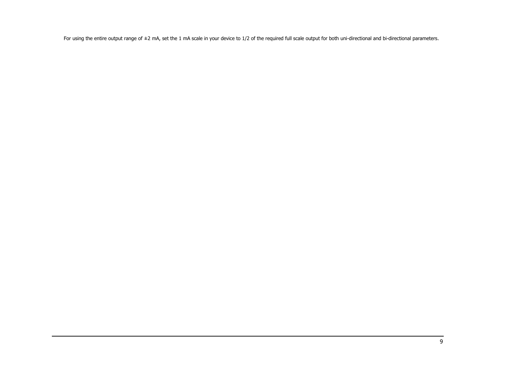For using the entire output range of ±2 mA, set the 1 mA scale in your device to 1/2 of the required full scale output for both uni-directional and bi-directional parameters.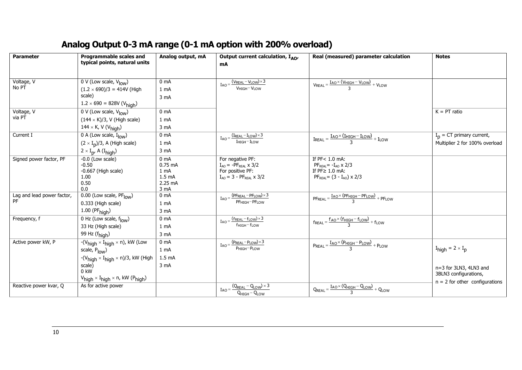## **Analog Output 0-3 mA range (0-1 mA option with 200% overload)**

<span id="page-9-0"></span>

| <b>Parameter</b>                 | <b>Programmable scales and</b><br>typical points, natural units                                                                                                                                                            | Analog output, mA                                                                        | Output current calculation, $I_{AO}$<br>mA                                                                      | Real (measured) parameter calculation                                                                         | <b>Notes</b>                                                                                                     |
|----------------------------------|----------------------------------------------------------------------------------------------------------------------------------------------------------------------------------------------------------------------------|------------------------------------------------------------------------------------------|-----------------------------------------------------------------------------------------------------------------|---------------------------------------------------------------------------------------------------------------|------------------------------------------------------------------------------------------------------------------|
| Voltage, V<br>No PT              | 0 V (Low scale, $V_{low}$ )<br>$(1.2 \times 690)/3 = 414V$ (High<br>scale)<br>$1.2 \times 690 = 828V (V_{high})$                                                                                                           | 0 <sub>mA</sub><br>1 mA<br>3 mA                                                          | $I_{AO} = \frac{(V_{REAL} - V_{LOW}) \times 3}{V_{HIGH} - V_{LOW}}$                                             | $V_{REAL} = \frac{I_{AO} \times (V_{HIGH} - V_{LOW})}{3} + V_{LOW}$                                           |                                                                                                                  |
| Voltage, V<br>via PT             | 0 V (Low scale, $V_{\text{low}}$ )<br>$(144 \times K)/3$ , V (High scale)<br>144 × K, V ( $V_{\text{high}}$ )                                                                                                              | 0 <sub>mA</sub><br>1 <sub>mA</sub><br>3 mA                                               |                                                                                                                 |                                                                                                               | $K = PT$ ratio                                                                                                   |
| Current I                        | 0 A (Low scale, $I_{low}$ )<br>$(2 \times I_p)/3$ , A (High scale)<br>$2 \times I_p$ , A (I <sub>high</sub> )                                                                                                              | 0 <sub>mA</sub><br>1 mA<br>3 mA                                                          | $I_{AO} = \frac{(I_{REAL} - I_{LOW}) \times 3}{I_{HIGH} - I_{LOW}}$                                             | $I_{\text{REAL}} = \frac{I_{\text{AO}} \times (I_{\text{HIGH}} - I_{\text{LOW}})}{3} + I_{\text{LOW}}$        | $I_p = CT$ primary current,<br>Multiplier 2 for 100% overload                                                    |
| Signed power factor, PF          | $-0.0$ (Low scale)<br>$-0.50$<br>$-0.667$ (High scale)<br>1.00<br>0.50<br>0.0                                                                                                                                              | 0 <sub>m</sub> A<br>$0.75$ mA<br>1 <sub>mA</sub><br>1.5 <sub>mA</sub><br>2.25 mA<br>3 mA | For negative PF:<br>$I_{AO} = -PF_{REAL} \times 3/2$<br>For positive PF:<br>$I_{AO} = 3 - PF_{REAL} \times 3/2$ | If PF< 1.0 mA:<br>$PFREAL = -IAO \times 2/3$<br>If $PF \geq 1.0$ mA:<br>$PF_{REAL} = (3 - I_{AO}) \times 2/3$ |                                                                                                                  |
| Lag and lead power factor,<br>PF | $\overline{0.00}$ (Low scale, PF $_{\text{low}}$ )<br>0.333 (High scale)<br>$1.00$ (PF $_{\text{high}}$ )                                                                                                                  | 0 <sub>mA</sub><br>1 mA<br>3 mA                                                          | $I_{AO} = \frac{(PF_{REAL} - PF_{LOW}) \times 3}{PF_{HIGH} - PF_{LOW}}$                                         | $PF_{REAL} = \frac{I_{AO} \times (PF_{HIGH} - PF_{LOW})}{3} + PF_{LOW}$                                       |                                                                                                                  |
| Frequency, f                     | 0 Hz (Low scale, flow)<br>33 Hz (High scale)<br>99 Hz (f <sub>high</sub> )                                                                                                                                                 | 0 <sub>mA</sub><br>1 mA<br>3 mA                                                          | $I_{AO} = \frac{(f_{REAL} - f_{LOW}) \times 3}{f_{HIGH} - f_{LOW}}$                                             | $f_{\text{REAL}} = \frac{f_{\text{AO}} \times (f_{\text{HIGH}} - f_{\text{LOW}})}{3} + f_{\text{LOW}}$        |                                                                                                                  |
| Active power kW, P               | $-(V_{high} \times I_{high} \times n)$ , kW (Low<br>scale, Plow)<br>$-(V_{high} \times I_{high} \times n)/3$ , kW (High<br>scale)<br>$0$ kW<br>$V_{\text{high}} \times I_{\text{high}} \times n$ , kW (P <sub>high</sub> ) | 0 <sub>mA</sub><br>1 mA<br>1.5 <sub>mA</sub><br>3 <sub>m</sub> A                         | $I_{AO} = \frac{(P_{REAL} - P_{LOW}) \times 3}{P_{HIGH} - P_{LOW}}$                                             | $P_{REAL} = \frac{I_{AO} \times (P_{HIGH} - P_{LOW})}{2} + P_{LOW}$                                           | $I_{high} = 2 \times I_p$<br>n=3 for 3LN3, 4LN3 and<br>3BLN3 configurations,<br>$n = 2$ for other configurations |
| Reactive power kvar, Q           | As for active power                                                                                                                                                                                                        |                                                                                          | $I_{AO} = \frac{(Q_{REAL} - Q_{LOW}) \times 3}{Q_{HIGH} - Q_{LOW}}$                                             | $\overline{Q_{REAL}} = \frac{I_{AO} \times (Q_{HIGH} - Q_{LOW})}{3} + Q_{LOW}$                                |                                                                                                                  |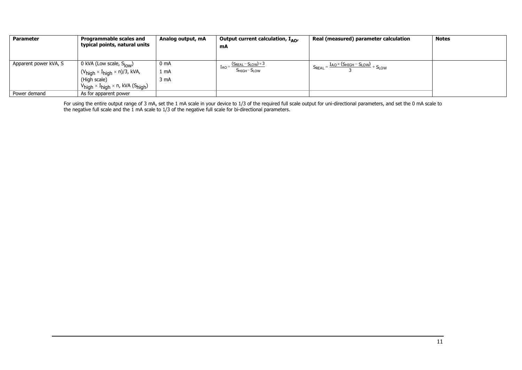| <b>Parameter</b>      | <b>Programmable scales and</b>                                               | Analog output, mA | Output current calculation, $I_{AO}$               | Real (measured) parameter calculation                               | <b>Notes</b> |
|-----------------------|------------------------------------------------------------------------------|-------------------|----------------------------------------------------|---------------------------------------------------------------------|--------------|
|                       | typical points, natural units                                                |                   | mA                                                 |                                                                     |              |
|                       |                                                                              |                   |                                                    |                                                                     |              |
| Apparent power kVA, S | 0 kVA (Low scale, S <sub>low</sub> )                                         | 0 mA              | $I_{AO} = \frac{(S_{REAL} - S_{LOW}) \times 3}{2}$ | $S_{REAL} = \frac{I_{AO} \times (S_{HIGH} - S_{LOW})}{2} + S_{LOW}$ |              |
|                       | $(V_{\text{high}} \times I_{\text{high}} \times n)/3$ , kVA,                 | 1 mA              | $S$ HIGH $-S$ LOW                                  |                                                                     |              |
|                       | (High scale)                                                                 | 3 mA              |                                                    |                                                                     |              |
|                       | $V_{\text{high}} \times I_{\text{high}} \times n$ , kVA (S <sub>high</sub> ) |                   |                                                    |                                                                     |              |
| Power demand          | As for apparent power                                                        |                   |                                                    |                                                                     |              |

For using the entire output range of 3 mA, set the 1 mA scale in your device to 1/3 of the required full scale output for uni-directional parameters, and set the 0 mA scale to the negative full scale and the 1 mA scale to 1/3 of the negative full scale for bi-directional parameters.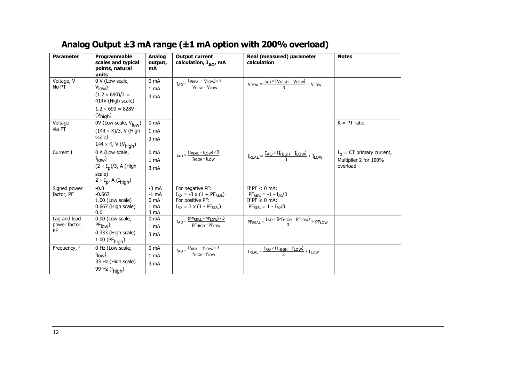## **Analog Output ±3 mA range (±1 mA option with 200% overload)**

<span id="page-11-0"></span>

| <b>Parameter</b> | Programmable                                   | <b>Analog</b>            | <b>Output current</b>                                                          | Real (measured) parameter                                                                                        | <b>Notes</b>                |
|------------------|------------------------------------------------|--------------------------|--------------------------------------------------------------------------------|------------------------------------------------------------------------------------------------------------------|-----------------------------|
|                  | scales and typical<br>points, natural          | output,<br>mA            | calculation, I <sub>AO</sub> , mA                                              | calculation                                                                                                      |                             |
|                  | units                                          |                          |                                                                                |                                                                                                                  |                             |
| Voltage, V       | 0 V (Low scale,                                | 0 <sub>mA</sub>          | $I_{AO} = \frac{(V_{REAL} - V_{LOW}) \times 3}{V_{HIGH} - V_{LOW}}$            | $V_{REAL} = \frac{I_{AO} \times (V_{HIGH} - V_{LOW})}{3} + V_{LOW}$                                              |                             |
| No PT            | $V_{\text{low}}$                               | 1 mA                     |                                                                                |                                                                                                                  |                             |
|                  | $(1.2 \times 690)/3 =$<br>414V (High scale)    | 3 mA                     |                                                                                |                                                                                                                  |                             |
|                  | $1.2 \times 690 = 828V$                        |                          |                                                                                |                                                                                                                  |                             |
|                  | $(V_{\text{high}})$                            |                          |                                                                                |                                                                                                                  |                             |
| Voltage          | $\overline{0V}$ (Low scale, $V_{\text{low}}$ ) | 0 <sub>m</sub> A         |                                                                                |                                                                                                                  | $K = PT$ ratio              |
| via PT           | $(144 \times K)/3$ , V (High                   | 1 <sub>mA</sub>          |                                                                                |                                                                                                                  |                             |
|                  | scale)                                         | 3 mA                     |                                                                                |                                                                                                                  |                             |
|                  | $144 \times K$ , V (V <sub>high</sub> )        |                          |                                                                                |                                                                                                                  |                             |
| Current I        | 0 A (Low scale,                                | 0 <sub>mA</sub>          | $I_{AO} = \frac{(I_{REAL} - I_{LOW}) \times 3}{I_{HIGH} - I_{LOW}}$            | $I_{\mathsf{REAL}} = \frac{I_{\mathsf{AO}} \times (I_{\mathsf{HIGH}} - I_{\mathsf{LOW}})}{3} + I_{\mathsf{LOW}}$ | $I_p = CT$ primary current, |
|                  | $I_{\text{low}}$                               | 1 <sub>mA</sub>          |                                                                                |                                                                                                                  | Multiplier 2 for 100%       |
|                  | $(2 \times I_p)/3$ , A (High                   | 3 mA                     |                                                                                |                                                                                                                  | overload                    |
|                  | scale)                                         |                          |                                                                                |                                                                                                                  |                             |
|                  | $2 \times I_{p}$ , A (I <sub>high</sub> )      |                          |                                                                                |                                                                                                                  |                             |
| Signed power     | $-0.0$                                         | $-3$ mA                  | For negative PF:                                                               | If $PF < 0$ mA:                                                                                                  |                             |
| factor, PF       | $-0.667$                                       | $-1$ mA                  | $I_{AO} = -3 \times (1 + PF_{REAL})$                                           | $PFREAL = -1 - IAO/3$                                                                                            |                             |
|                  | 1.00 (Low scale)<br>0.667 (High scale)         | 0 <sub>m</sub> A<br>1 mA | For positive PF:<br>$I_{AO} = 3 \times (1 - PF_{REAL})$                        | If $PF \geq 0$ mA:<br>$PFREAL = 1 - IAO/3$                                                                       |                             |
|                  | 0.0                                            | 3 mA                     |                                                                                |                                                                                                                  |                             |
| Lag and lead     | 0.00 (Low scale,                               | 0 <sub>m</sub> A         | $I_{AO} = \frac{(PF_{REAL} - PF_{LOW}) \times 3}{PF_{HIGH} - PF_{LOW}}$        | $PF_{REAL} = \frac{I_{AO} \times (PF_{HIGH} - PF_{LOW})}{2} + PF_{LOW}$                                          |                             |
| power factor,    | PF <sub>low</sub>                              | 1 <sub>mA</sub>          |                                                                                |                                                                                                                  |                             |
| PF               | 0.333 (High scale)                             | 3 mA                     |                                                                                |                                                                                                                  |                             |
|                  | $1.00$ (PF $_{\text{high}}$ )                  |                          |                                                                                |                                                                                                                  |                             |
| Frequency, f     | 0 Hz (Low scale,                               | 0 <sub>mA</sub>          | $I_{AO} = \frac{(f_{REAL} - f_{LOW}) \times 3}{(f_{REAL} - f_{LOW}) \times 3}$ | $f_{\text{REAL}} = \frac{f_{\text{AO}} \times (f_{\text{HIGH}} - f_{\text{LOW}})}{3} + f_{\text{LOW}}$           |                             |
|                  | $f_{\text{low}}$                               | 1 <sub>mA</sub>          | fHIGH-fLOW                                                                     |                                                                                                                  |                             |
|                  | 33 Hz (High scale)                             | 3 mA                     |                                                                                |                                                                                                                  |                             |
|                  | 99 Hz (f <sub>high</sub> )                     |                          |                                                                                |                                                                                                                  |                             |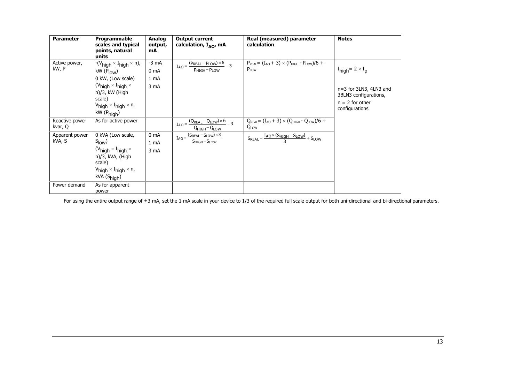| <b>Parameter</b>          | Programmable<br>scales and typical<br>points, natural<br>units                                                                                                                                                                     | Analog<br>output,<br>mA                    | <b>Output current</b><br>calculation, I <sub>AO</sub> , mA                                   | Real (measured) parameter<br>calculation                                                      | <b>Notes</b>                                                                                                                        |
|---------------------------|------------------------------------------------------------------------------------------------------------------------------------------------------------------------------------------------------------------------------------|--------------------------------------------|----------------------------------------------------------------------------------------------|-----------------------------------------------------------------------------------------------|-------------------------------------------------------------------------------------------------------------------------------------|
| Active power,<br>kW, P    | $-(V_{high} \times I_{high} \times n)$ ,<br>$KW(P_{\text{low}})$<br>0 kW, (Low scale)<br>$(V_{high} \times I_{high} \times$<br>n)/3, kW (High<br>scale)<br>$V_{\text{high}} \times I_{\text{high}} \times n$ ,<br>$kW$ ( $Phich$ ) | $-3$ mA<br>0 <sub>mA</sub><br>1 mA<br>3 mA | $I_{AO} = \frac{(P_{REAL} - P_{LOW}) \times 6}{P_{HIGH} - P_{LOW}} - 3$                      | $P_{REAL} = (I_{AO} + 3) \times (P_{HIGH} - P_{LOW})/6 +$<br>$P_{LOW}$                        | $I_{\text{high}} = 2 \times I_{\text{p}}$<br>n=3 for 3LN3, 4LN3 and<br>3BLN3 configurations,<br>$n = 2$ for other<br>configurations |
| Reactive power<br>kvar, Q | As for active power                                                                                                                                                                                                                |                                            | $I_{AO} = \frac{(Q_{REAL} - Q_{LOW}) \times 6}{2} - 3$<br>$Q_{HIGH} - Q_{LOW}$               | $Q_{\text{REAL}} = (I_{\text{AO}} + 3) \times (Q_{\text{HIGH}} - Q_{\text{LOW}})/6 +$<br>QLOW |                                                                                                                                     |
| Apparent power<br>kVA, S  | 0 kVA (Low scale,<br>$S_{\text{low}}$<br>$(V_{\text{high}} \times I_{\text{high}} \times$<br>n)/3, kVA, (High<br>scale)<br>$V_{\text{high}} \times I_{\text{high}} \times n$ ,<br>kVA (S <sub>high</sub> )                         | 0 <sub>m</sub> A<br>1 mA<br>3 mA           | $I_{AO} = \frac{(S_{REAL} - S_{LOW}) \times 3}{(S_{REAL} - S_{LOW}) \times 3}$<br>SHIGH-SLOW | $S_{REAL} = \frac{I_{AO} \times (S_{HIGH} - S_{LOW})}{3} + S_{LOW}$                           |                                                                                                                                     |
| Power demand              | As for apparent<br>power                                                                                                                                                                                                           |                                            |                                                                                              |                                                                                               |                                                                                                                                     |

For using the entire output range of ±3 mA, set the 1 mA scale in your device to 1/3 of the required full scale output for both uni-directional and bi-directional parameters.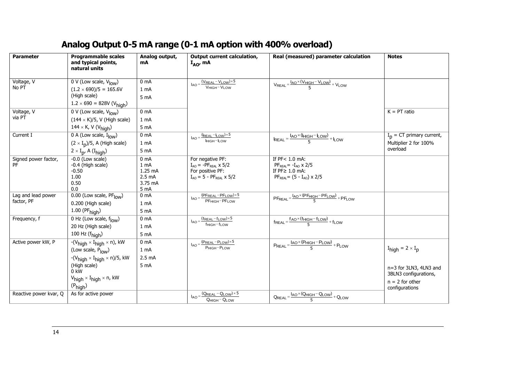## **Analog Output 0-5 mA range (0-1 mA option with 400% overload)**

<span id="page-13-0"></span>

| <b>Parameter</b>       | <b>Programmable scales</b><br>and typical points,<br>natural units | Analog output,<br>mA                 | Output current calculation,<br>$I_{AO}$ mA                                     | Real (measured) parameter calculation                                                                  | <b>Notes</b>                              |
|------------------------|--------------------------------------------------------------------|--------------------------------------|--------------------------------------------------------------------------------|--------------------------------------------------------------------------------------------------------|-------------------------------------------|
| Voltage, V             | 0 V (Low scale, $V_{low}$ )                                        | 0 <sub>mA</sub>                      | $\overline{I_{AO}} = \frac{(V_{REAL} - V_{LOW}) \times 5}{V_{HIGH} - V_{LOW}}$ | $V_{REAL} = \frac{I_{AO} \times (V_{HIGH} - V_{LOW})}{F} + V_{LOW}$                                    |                                           |
| No PT                  | $(1.2 \times 690)/5 = 165.6V$<br>(High scale)                      | $1 \text{ mA}$<br>5 mA               |                                                                                |                                                                                                        |                                           |
|                        | $1.2 \times 690 = 828V (V_{high})$                                 |                                      |                                                                                |                                                                                                        | $K = PT$ ratio                            |
| Voltage, V<br>via PT   | 0 V (Low scale, $V_{low}$ )                                        | 0 <sub>mA</sub>                      |                                                                                |                                                                                                        |                                           |
|                        | $(144 \times K)/5$ , V (High scale)                                | 1 mA                                 |                                                                                |                                                                                                        |                                           |
|                        | 144 $\times$ K, V (V <sub>high</sub> )                             | 5 <sub>mA</sub>                      |                                                                                |                                                                                                        |                                           |
| Current I              | 0 A (Low scale, $I_{low}$ )                                        | 0 <sub>mA</sub>                      | $I_{AO} = \frac{(I_{REAL} - I_{LOW}) \times 5}{I_{HIGH} - I_{LOW}}$            | $I_{REAL} = \frac{I_{AO} \times (I_{HIGH} - I_{LOW})}{5} + I_{LOW}$                                    | $I_n = CT$ primary current,               |
|                        | $(2 \times I_p)/5$ , A (High scale)                                | 1 mA                                 |                                                                                |                                                                                                        | Multiplier 2 for 100%<br>overload         |
|                        | $2 \times I_p$ , A (I <sub>high</sub> )                            | 5 <sub>mA</sub>                      |                                                                                |                                                                                                        |                                           |
| Signed power factor,   | $-0.0$ (Low scale)                                                 | 0 <sub>mA</sub>                      | For negative PF:                                                               | If PF< 1.0 mA:                                                                                         |                                           |
| PF                     | -0.4 (High scale)<br>$-0.50$                                       | 1 <sub>mA</sub><br>$1.25 \text{ mA}$ | $I_{AO} = -PF_{REAL} \times 5/2$<br>For positive PF:                           | $PFREAL = -IAO \times 2/5$<br>If $PF \geq 1.0$ mA:                                                     |                                           |
|                        | 1.00                                                               | $2.5 \text{ mA}$                     | $I_{AO} = 5 - PF_{REAL} \times 5/2$                                            | $PF_{RFAI} = (5 - I_{AO}) \times 2/5$                                                                  |                                           |
|                        | 0.50                                                               | 3.75 mA                              |                                                                                |                                                                                                        |                                           |
|                        | 0.0                                                                | 5 mA                                 |                                                                                |                                                                                                        |                                           |
| Lag and lead power     | $\overline{0.00}$ (Low scale, PF $_{\text{low}}$ )                 | 0 <sub>mA</sub>                      | $I_{AO} = \frac{(PF_{REAL} - PF_{LOW}) \times 5}{PF_{HIGH} - PF_{LOW}}$        | $PF_{REAL} = \frac{I_{AO} \times (PF_{HIGH} - PF_{LOW})}{F} + PF_{LOW}$                                |                                           |
| factor, PF             | 0.200 (High scale)                                                 | 1 mA                                 |                                                                                |                                                                                                        |                                           |
|                        | $1.00$ (PF $_{\text{hiah}}$ )                                      | 5 <sub>mA</sub>                      |                                                                                |                                                                                                        |                                           |
| Frequency, f           | $\overline{0$ Hz (Low scale, $f_{low}$ )                           | 0 <sub>mA</sub>                      | $I_{AO} = \frac{(f_{REAL} - f_{LOW}) \times 5}{f_{HIGH} - f_{LOW}}$            | $f_{\text{REAL}} = \frac{f_{\text{AO}} \times (f_{\text{HIGH}} - f_{\text{LOW}})}{5} + f_{\text{LOW}}$ |                                           |
|                        | 20 Hz (High scale)                                                 | 1 mA                                 |                                                                                |                                                                                                        |                                           |
|                        | 100 Hz $(f_{\text{high}})$                                         | 5 mA                                 |                                                                                |                                                                                                        |                                           |
| Active power kW, P     | $-(V_{high} \times I_{high} \times n)$ , kW                        | 0 <sub>mA</sub>                      | $I_{AO} = \frac{(P_{REAL} - P_{LOW}) \times 5}{P_{HIGH} - P_{LOW}}$            | $P_{REAL} = \frac{I_{AO} \times (P_{HIGH} - P_{LOW})}{F} + P_{LOW}$                                    |                                           |
|                        | (Low scale, Plow)                                                  | 1 mA                                 |                                                                                |                                                                                                        | $I_{\text{hiah}} = 2 \times I_{\text{D}}$ |
|                        | $-(V_{high} \times I_{high} \times n)/5$ , kW                      | 2.5 <sub>mA</sub>                    |                                                                                |                                                                                                        |                                           |
|                        | (High scale)                                                       | 5 <sub>m</sub> A                     |                                                                                |                                                                                                        | n=3 for 3LN3, 4LN3 and                    |
|                        | $0$ kW                                                             |                                      |                                                                                |                                                                                                        | 3BLN3 configurations,                     |
|                        | $V_{high} \times I_{high} \times n$ , kW                           |                                      |                                                                                |                                                                                                        | $n = 2$ for other                         |
|                        | (P <sub>high</sub> )                                               |                                      |                                                                                |                                                                                                        | configurations                            |
| Reactive power kvar, Q | As for active power                                                |                                      | $I_{AO} = \frac{(Q_{REAL} - Q_{LOW}) \times 5}{4}$<br>$QHIGH - QLOW$           | $\overline{Q_{REAL}} = \frac{I_{AO} \times (Q_{HIGH} - Q_{LOW})}{5} + Q_{LOW}$                         |                                           |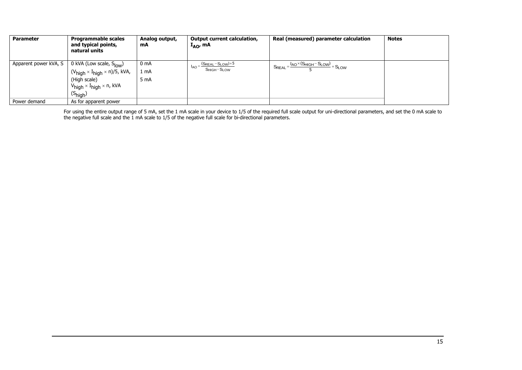| <b>Parameter</b>      | <b>Programmable scales</b><br>and typical points,<br>natural units                                                                                                                       | Analog output,<br>mA | <b>Output current calculation,</b><br>$I_{AO}$ , mA         | Real (measured) parameter calculation                               | <b>Notes</b> |
|-----------------------|------------------------------------------------------------------------------------------------------------------------------------------------------------------------------------------|----------------------|-------------------------------------------------------------|---------------------------------------------------------------------|--------------|
| Apparent power kVA, S | 0 kVA (Low scale, S <sub>low</sub> )<br>$(V_{high} \times I_{high} \times n)/5$ , kVA,<br>(High scale)<br>$V_{\text{high}} \times I_{\text{high}} \times n$ , kVA<br>$(S_{\text{high}})$ | 0 mA<br>1 mA<br>5 mA | $(S_{REAL} - S_{LOW}) \times 5$<br><b>IAO</b><br>SHIGH-SLOW | $S_{REAL} = \frac{I_{AO} \times (S_{HIGH} - S_{LOW})}{F} + S_{LOW}$ |              |
| Power demand          | As for apparent power                                                                                                                                                                    |                      |                                                             |                                                                     |              |

For using the entire output range of 5 mA, set the 1 mA scale in your device to 1/5 of the required full scale output for uni-directional parameters, and set the 0 mA scale to the negative full scale and the 1 mA scale to 1/5 of the negative full scale for bi-directional parameters.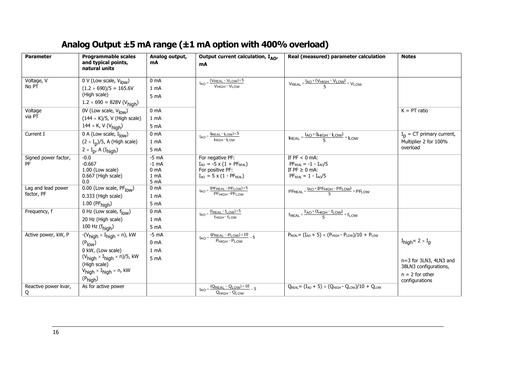## **Analog Output ±5 mA range (±1 mA option with 400% overload)**

<span id="page-15-0"></span>

| <b>Parameter</b>     | <b>Programmable scales</b><br>and typical points,        | Analog output,<br>mA        | Output current calculation, $I_{AO}$ ,<br>mA                             | Real (measured) parameter calculation                                                                  | <b>Notes</b>                              |
|----------------------|----------------------------------------------------------|-----------------------------|--------------------------------------------------------------------------|--------------------------------------------------------------------------------------------------------|-------------------------------------------|
|                      | natural units                                            |                             |                                                                          |                                                                                                        |                                           |
| Voltage, V<br>No PT  | $0 \text{ V}$ (Low scale, $V_{\text{low}}$ )             | 0 <sub>mA</sub>             | $(V_{REAL} - V_{LOW}) \times 5$<br>$I_{AO}$<br>VHIGH-VLOW                | $V_{REAL} = \frac{I_{AO} \times (V_{HIGH} - V_{LOW})}{F} + V_{LOW}$                                    |                                           |
|                      | $(1.2 \times 690)/5 = 165.6V$                            | 1 <sub>mA</sub>             |                                                                          |                                                                                                        |                                           |
|                      | (High scale)                                             | 5 mA                        |                                                                          |                                                                                                        |                                           |
|                      | $1.2 \times 690 = 828V (V_{\text{high}})$                |                             |                                                                          |                                                                                                        |                                           |
| Voltage<br>via PT    | 0V (Low scale, V <sub>low</sub> )                        | 0 <sub>mA</sub>             |                                                                          |                                                                                                        | $K = PT$ ratio                            |
|                      | $(144 \times K)/5$ , V (High scale)                      | 1 <sub>mA</sub>             |                                                                          |                                                                                                        |                                           |
|                      | 144 × K, V (V <sub>high</sub> )                          | 5 <sub>mA</sub>             |                                                                          |                                                                                                        |                                           |
| Current I            | 0 A (Low scale, $I_{low}$ )                              | 0 <sub>mA</sub>             | $I_{AO} = \frac{(I_{REAL} - I_{LOW}) \times 5}{I_{HIGH} - I_{LOW}}$      | $I_{REAL} = \frac{I_{AO} \times (I_{HIGH} - I_{LOW})}{5} + I_{LOW}$                                    | $I_{p}$ = CT primary current,             |
|                      | $(2 \times I_p)/5$ , A (High scale)                      | 1 mA                        |                                                                          |                                                                                                        | Multiplier 2 for 100%                     |
|                      | $2 \times I_{p}$ , A (I <sub>high</sub> )                | 5 mA                        |                                                                          |                                                                                                        | overload                                  |
| Signed power factor, | $-0.0$                                                   | $-5$ mA                     | For negative PF:                                                         | If $PF < 0$ mA:                                                                                        |                                           |
| <b>PF</b>            | $-0.667$<br>1.00 (Low scale)                             | $-1$ mA<br>0 <sub>m</sub> A | $I_{AO} = -5 \times (1 + PF_{REAL})$<br>For positive PF:                 | $PF_{REAL} = -1 - I_{AO}/5$<br>If $PF \ge 0$ mA:                                                       |                                           |
|                      | 0.667 (High scale)                                       | 1 <sub>mA</sub>             | $I_{AO} = 5 \times (1 - PF_{REAL})$                                      | $PFREAL = 1 - IAO/5$                                                                                   |                                           |
|                      | 0.0                                                      | 5 mA                        |                                                                          |                                                                                                        |                                           |
| Lag and lead power   | 0.00 (Low scale, PFlow)                                  | 0 <sub>mA</sub>             | $I_{AO} = \frac{(PF_{REAL} - PF_{LOW}) \times 5}{PF_{HIGH} - PF_{LOW}}$  | $PF_{REAL} = \frac{I_{AO} \times (PF_{HIGH} - PF_{LOW})}{5} + PF_{LOW}$                                |                                           |
| factor, PF           | 0.333 (High scale)                                       | 1 <sub>mA</sub>             |                                                                          |                                                                                                        |                                           |
|                      | $1.00$ (PF $_{\text{high}}$ )                            | 5 mA                        |                                                                          |                                                                                                        |                                           |
| Frequency, f         | 0 Hz (Low scale, $f_{low}$ )                             | 0 <sub>mA</sub>             | $I_{AO} = \frac{(f_{REAL} - f_{LOW}) \times 5}{f_{HIGH} - f_{LOW}}$      | $f_{\text{REAL}} = \frac{f_{\text{AO}} \times (f_{\text{HIGH}} - f_{\text{LOW}})}{F} + f_{\text{LOW}}$ |                                           |
|                      | 20 Hz (High scale)                                       | 1 <sub>mA</sub>             |                                                                          |                                                                                                        |                                           |
|                      | 100 Hz $(fhigh)$                                         | 5 <sub>mA</sub>             |                                                                          |                                                                                                        |                                           |
| Active power, kW, P  | $-(V_{high} \times I_{high} \times n)$ , kW              | $-5$ mA                     | $I_{AO} = \frac{(P_{REAL} - P_{LOW}) \times 10}{P_{HIGH} - P_{LOW}} - 5$ | $P_{\text{REAL}} = (I_{AO} + 5) \times (P_{\text{HIGH}} - P_{\text{LOW}})/10 + P_{\text{LOW}}$         |                                           |
|                      | (P <sub>low</sub> )                                      | 0 <sub>mA</sub>             |                                                                          |                                                                                                        | $I_{\text{high}} = 2 \times I_{\text{p}}$ |
|                      | 0 kW, (Low scale)                                        | 1 <sub>mA</sub>             |                                                                          |                                                                                                        |                                           |
|                      | $(V_{high} \times I_{high} \times n)/5$ , kW             | 5 <sub>mA</sub>             |                                                                          |                                                                                                        | n=3 for 3LN3, 4LN3 and                    |
|                      | (High scale)<br>$V_{high} \times I_{high} \times n$ , kW |                             |                                                                          |                                                                                                        | 3BLN3 configurations,                     |
|                      |                                                          |                             |                                                                          |                                                                                                        | $n = 2$ for other                         |
| Reactive power kvar, | $(P_{high})$<br>As for active power                      |                             |                                                                          | $Q_{\text{REAL}} = (I_{\text{AO}} + 5) \times (Q_{\text{HIGH}} - Q_{\text{LOW}})/10 + Q_{\text{LOW}}$  | configurations                            |
| Q                    |                                                          |                             | $I_{AO} = \frac{(Q_{REAL} - Q_{LOW}) \times 10}{Q_{HIGH} - Q_{LOW}} - 5$ |                                                                                                        |                                           |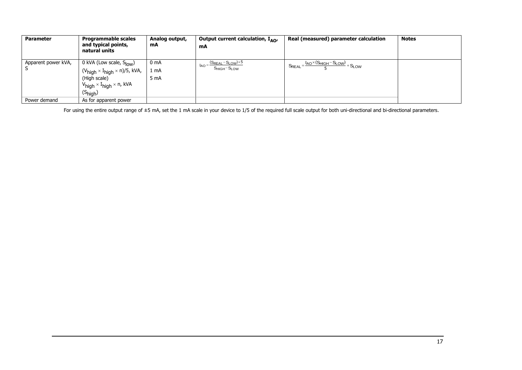| <b>Parameter</b>    | <b>Programmable scales</b><br>and typical points,<br>natural units                                                                                                                       | Analog output,<br>mA | Output current calculation, $I_{AO}$<br>mA                | Real (measured) parameter calculation                               | <b>Notes</b> |
|---------------------|------------------------------------------------------------------------------------------------------------------------------------------------------------------------------------------|----------------------|-----------------------------------------------------------|---------------------------------------------------------------------|--------------|
| Apparent power kVA, | 0 kVA (Low scale, S <sub>low</sub> )<br>$(V_{high} \times I_{high} \times n)/5$ , kVA,<br>(High scale)<br>$V_{\text{high}} \times I_{\text{high}} \times n$ , kVA<br>$(S_{\text{high}})$ | 0 mA<br>1 mA<br>5 mA | $(S_{REAL} - S_{LOW}) \times 5$<br>$I_{AO}$<br>SHIGH-SLOW | $S_{REAL} = \frac{I_{AO} \times (S_{HIGH} - S_{LOW})}{F} + S_{LOW}$ |              |
| Power demand        | As for apparent power                                                                                                                                                                    |                      |                                                           |                                                                     |              |

For using the entire output range of ±5 mA, set the 1 mA scale in your device to 1/5 of the required full scale output for both uni-directional and bi-directional parameters.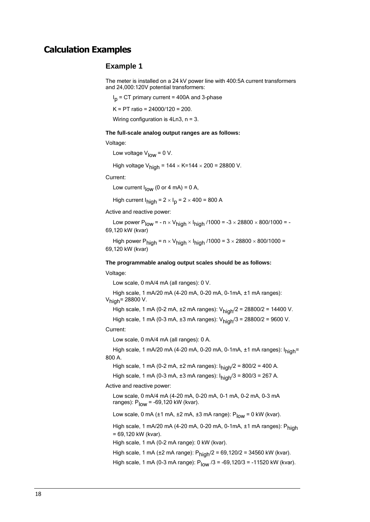### <span id="page-17-0"></span>**Calculation Examples**

### **Example 1**

The meter is installed on a 24 kV power line with 400:5A current transformers and 24,000:120V potential transformers:

I<sub>p</sub> = CT primary current = 400A and 3-phase

K = PT ratio = 24000/120 = 200.

Wiring configuration is 4Ln3, n = 3.

### **The full-scale analog output ranges are as follows:**

Voltage:

Low voltage  $V_{\text{low}} = 0 V$ .

High voltage  $V_{\text{hich}}$  = 144  $\times$  K=144  $\times$  200 = 28800 V.

Current:

Low current  $I_{\text{low}}$  (0 or 4 mA) = 0 A,

High current  $I_{\text{high}}$  = 2  $\times$  I<sub>p</sub> = 2  $\times$  400 = 800 A

Active and reactive power:

Low power P<sub>low</sub> = - n  $\times$  V<sub>high</sub>  $\times$  I<sub>high</sub> /1000 = -3  $\times$  28800  $\times$  800/1000 = -69,120 kW (kvar)

High power P<sub>high</sub> =  $n \times V_{high} \times I_{high}$  /1000 =  $3 \times 28800 \times 800/1000$  = 69,120 kW (kvar)

#### **The programmable analog output scales should be as follows:**

Voltage:

Low scale, 0 mA/4 mA (all ranges): 0 V.

High scale, 1 mA/20 mA (4-20 mA, 0-20 mA, 0-1mA, ±1 mA ranges):  $V_{\text{hich}}$ = 28800 V.

High scale, 1 mA (0-2 mA,  $\pm 2$  mA ranges):  $V_{\text{hich}}/2 = 28800/2 = 14400$  V.

High scale, 1 mA (0-3 mA,  $\pm 3$  mA ranges):  $V_{\text{high}}/3 = 28800/2 = 9600$  V.

### Current:

Low scale, 0 mA/4 mA (all ranges): 0 A.

High scale, 1 mA/20 mA (4-20 mA, 0-20 mA, 0-1mA,  $\pm$ 1 mA ranges):  $I<sub>hich</sub>$ = 800 A.

High scale, 1 mA (0-2 mA,  $\pm 2$  mA ranges):  $I_{\text{high}}/2 = 800/2 = 400$  A.

High scale, 1 mA (0-3 mA,  $\pm 3$  mA ranges):  $I_{\text{hich}}/3 = 800/3 = 267$  A.

Active and reactive power:

Low scale, 0 mA/4 mA (4-20 mA, 0-20 mA, 0-1 mA, 0-2 mA, 0-3 mA ranges):  $P_{\text{low}}$  = -69,120 kW (kvar).

Low scale, 0 mA ( $\pm$ 1 mA,  $\pm$ 2 mA,  $\pm$ 3 mA range): P<sub>low</sub> = 0 kW (kvar).

High scale, 1 mA/20 mA (4-20 mA, 0-20 mA, 0-1mA, ±1 mA ranges): Phinh = 69,120 kW (kvar).

High scale, 1 mA (0-2 mA range): 0 kW (kvar).

High scale, 1 mA ( $\pm 2$  mA range):  $P_{\text{hich}}/2 = 69,120/2 = 34560$  kW (kvar).

High scale, 1 mA (0-3 mA range):  $P_{low}$  /3 = -69,120/3 = -11520 kW (kvar).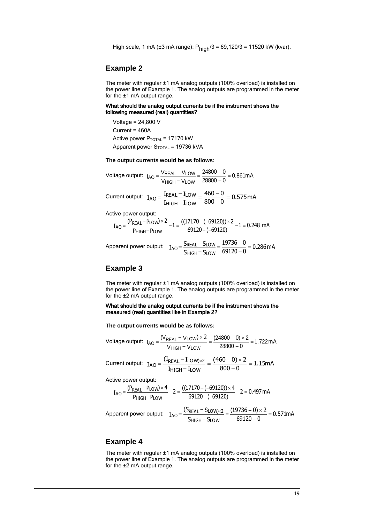High scale, 1 mA (±3 mA range):  $P_{\text{high}}/3 = 69,120/3 = 11520$  kW (kvar).

### **Example 2**

The meter with regular ±1 mA analog outputs (100% overload) is installed on the power line of Example 1. The analog outputs are programmed in the meter for the ±1 mA output range.

#### What should the analog output currents be if the instrument shows the following measured (real) quantities?

Voltage = 24,800 V Current = 460A Active power  $P_{\text{TOTAL}}$  = 17170 kW Apparent power  $S_{\text{TOTAL}}$  = 19736 kVA

**The output currents would be as follows:** 

$$
\text{Voltage output: } I_{AO} = \frac{V_{REAL} - V_{LOW}}{V_{HIGH} - V_{LOW}} = \frac{24800 - 0}{28800 - 0} = 0.861 \text{mA}
$$

Current output:  $I_{AO} = \frac{IREAL}{I_{HIGH} - I_{IOW}} = \frac{10000}{800 - 0} = 0.575mA$  $460 - 0$  $\text{I}_{\text{HIGH}}\text{--}\,\text{I}$  $I_{AO} = \frac{I_{REAL} - I}{I}$  $H$ IGH $-$  Llow  $_{\text{AO}} = \frac{I_{\text{REAL}} - I_{\text{LOW}}}{I_{\text{HIGH}} - I_{\text{LOW}}} = \frac{460 - 0}{800 - 0} =$  $\frac{-I_{LOW}}{-I_{I\,OW}} = \frac{460}{800}$  $=$   $\frac{I_{\text{REAL}}-$ 

Active power output:

$$
I_{AO} = \frac{(P_{REAL} - P_{LOW}) \times 2}{P_{HIGH} - P_{LOW}} - 1 = \frac{((17170 - (-69120)) \times 2}{69120 - (-69120)} - 1 = 0.248 \text{ mA}
$$

$$
Apparent power output: I_{AO} = \frac{S_{REAL} - S_{LOW}}{S_{HIGH} - S_{LOW}} = \frac{19736 - 0}{69120 - 0} = 0.286 \text{ mA}
$$

### **Example 3**

The meter with regular ±1 mA analog outputs (100% overload) is installed on the power line of Example 1. The analog outputs are programmed in the meter for the ±2 mA output range.

What should the analog output currents be if the instrument shows the measured (real) quantities like in Example 2?

**The output currents would be as follows:** 

$$
\text{Voltage output: } \ I_{AO} = \frac{(V_{REAL} - V_{LOW}) \times 2}{V_{HIGH} - V_{LOW}} = \frac{(24800 - 0) \times 2}{28800 - 0} = 1.722 \text{ mA}
$$

$$
\text{Current output:} \quad I_{AO} = \frac{\left(I_{REAL}-I_{LOW\right)\times2}}{I_{HIGH}-I_{LOW}} = \frac{(460-0)\times2}{800-0} = 1.15mA
$$

Active power output:

$$
I_{AO} = \frac{(P_{REAL} - P_{LOW}) \times 4}{P_{HIGH} - P_{LOW}} - 2 = \frac{((17170 - (-69120)) \times 4}{69120 - (-69120)} - 2 = 0.497 \text{ mA}
$$
\n
$$
Apparent power output: I_{AO} = \frac{(S_{REAL} - S_{LOW}) \times 2}{S_{HIGH} - S_{LOW}} = \frac{(19736 - 0) \times 2}{69120 - 0} = 0.571 \text{ mA}
$$

### **Example 4**

The meter with regular ±1 mA analog outputs (100% overload) is installed on the power line of Example 1. The analog outputs are programmed in the meter for the ±2 mA output range.